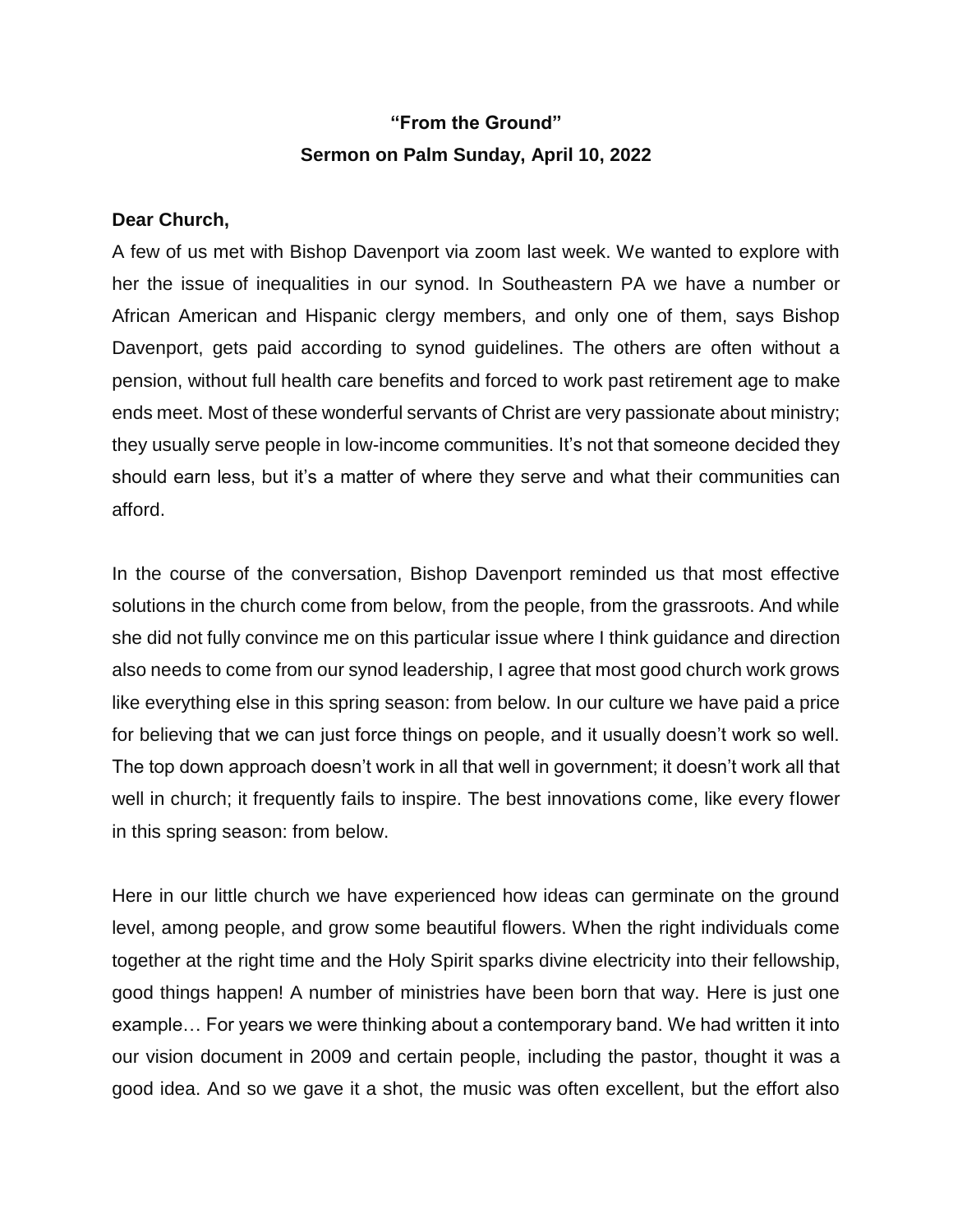## **"From the Ground" Sermon on Palm Sunday, April 10, 2022**

## **Dear Church,**

A few of us met with Bishop Davenport via zoom last week. We wanted to explore with her the issue of inequalities in our synod. In Southeastern PA we have a number or African American and Hispanic clergy members, and only one of them, says Bishop Davenport, gets paid according to synod guidelines. The others are often without a pension, without full health care benefits and forced to work past retirement age to make ends meet. Most of these wonderful servants of Christ are very passionate about ministry; they usually serve people in low-income communities. It's not that someone decided they should earn less, but it's a matter of where they serve and what their communities can afford.

In the course of the conversation, Bishop Davenport reminded us that most effective solutions in the church come from below, from the people, from the grassroots. And while she did not fully convince me on this particular issue where I think guidance and direction also needs to come from our synod leadership, I agree that most good church work grows like everything else in this spring season: from below. In our culture we have paid a price for believing that we can just force things on people, and it usually doesn't work so well. The top down approach doesn't work in all that well in government; it doesn't work all that well in church; it frequently fails to inspire. The best innovations come, like every flower in this spring season: from below.

Here in our little church we have experienced how ideas can germinate on the ground level, among people, and grow some beautiful flowers. When the right individuals come together at the right time and the Holy Spirit sparks divine electricity into their fellowship, good things happen! A number of ministries have been born that way. Here is just one example… For years we were thinking about a contemporary band. We had written it into our vision document in 2009 and certain people, including the pastor, thought it was a good idea. And so we gave it a shot, the music was often excellent, but the effort also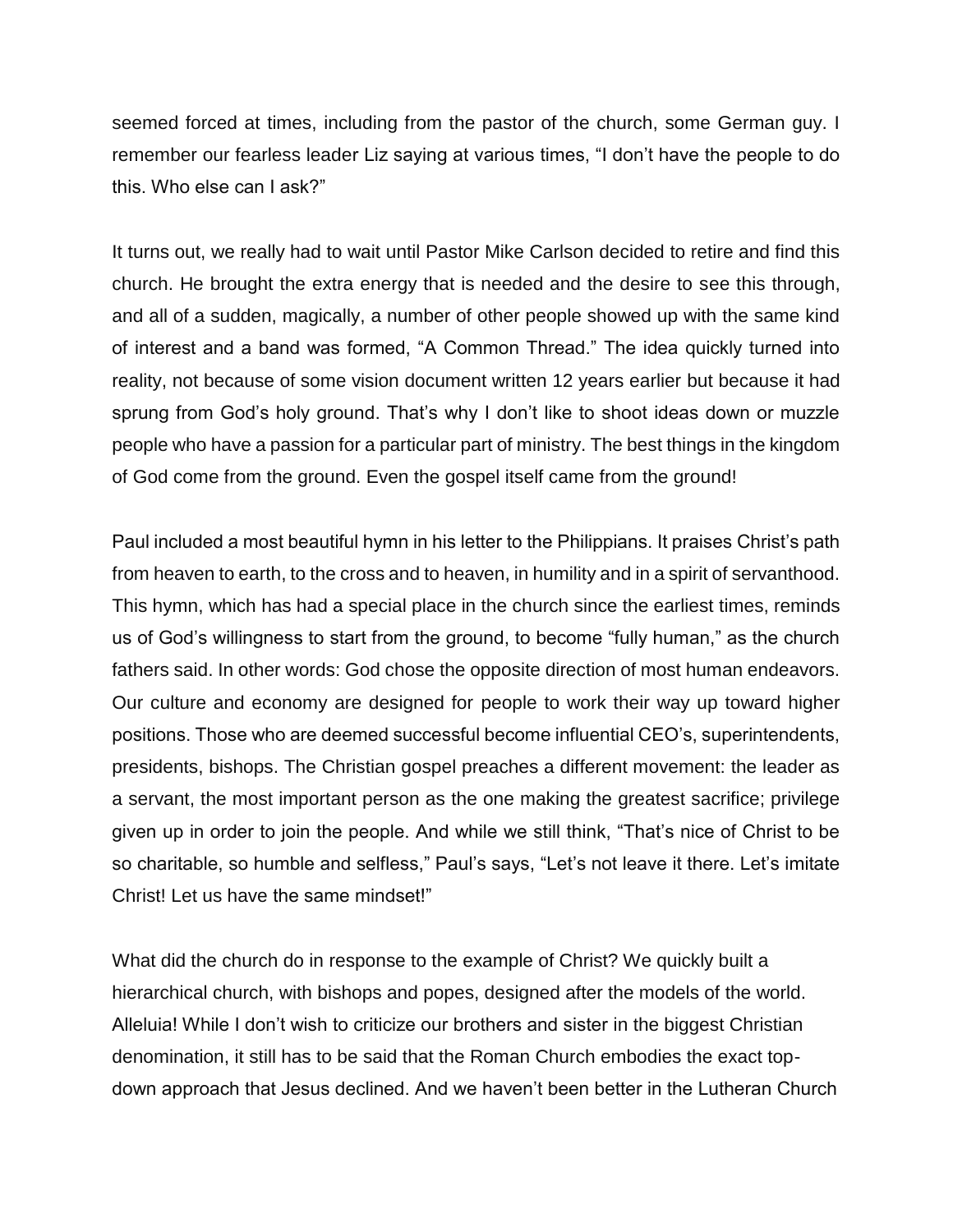seemed forced at times, including from the pastor of the church, some German guy. I remember our fearless leader Liz saying at various times, "I don't have the people to do this. Who else can I ask?"

It turns out, we really had to wait until Pastor Mike Carlson decided to retire and find this church. He brought the extra energy that is needed and the desire to see this through, and all of a sudden, magically, a number of other people showed up with the same kind of interest and a band was formed, "A Common Thread." The idea quickly turned into reality, not because of some vision document written 12 years earlier but because it had sprung from God's holy ground. That's why I don't like to shoot ideas down or muzzle people who have a passion for a particular part of ministry. The best things in the kingdom of God come from the ground. Even the gospel itself came from the ground!

Paul included a most beautiful hymn in his letter to the Philippians. It praises Christ's path from heaven to earth, to the cross and to heaven, in humility and in a spirit of servanthood. This hymn, which has had a special place in the church since the earliest times, reminds us of God's willingness to start from the ground, to become "fully human," as the church fathers said. In other words: God chose the opposite direction of most human endeavors. Our culture and economy are designed for people to work their way up toward higher positions. Those who are deemed successful become influential CEO's, superintendents, presidents, bishops. The Christian gospel preaches a different movement: the leader as a servant, the most important person as the one making the greatest sacrifice; privilege given up in order to join the people. And while we still think, "That's nice of Christ to be so charitable, so humble and selfless," Paul's says, "Let's not leave it there. Let's imitate Christ! Let us have the same mindset!"

What did the church do in response to the example of Christ? We quickly built a hierarchical church, with bishops and popes, designed after the models of the world. Alleluia! While I don't wish to criticize our brothers and sister in the biggest Christian denomination, it still has to be said that the Roman Church embodies the exact topdown approach that Jesus declined. And we haven't been better in the Lutheran Church